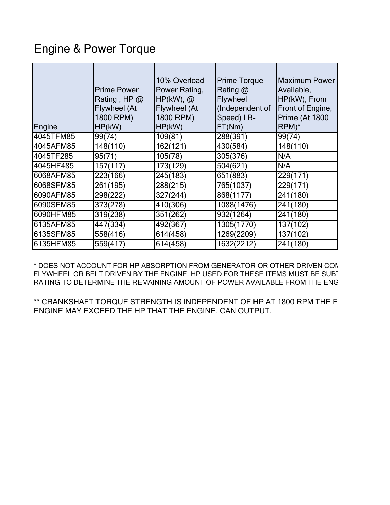## Engine & Power Torque

| Engine    | <b>Prime Power</b><br>Rating, HP @<br><b>Flywheel</b> (At<br>1800 RPM)<br>HP(kW) | 10% Overload<br>Power Rating,<br>$HP(kW)$ , @<br>Flywheel (At<br>1800 RPM)<br>HP(kW) | <b>Prime Torque</b><br>Rating $@$<br>Flywheel<br>(Independent of<br>Speed) LB-<br>FT(Nm) | <b>Maximum Power</b><br>Available,<br>HP(kW), From<br>Front of Engine,<br>Prime (At 1800<br>$RPM)^*$ |
|-----------|----------------------------------------------------------------------------------|--------------------------------------------------------------------------------------|------------------------------------------------------------------------------------------|------------------------------------------------------------------------------------------------------|
| 4045TFM85 | 99(74)                                                                           | 109(81)                                                                              | 288(391)                                                                                 | 99(74)                                                                                               |
| 4045AFM85 | 148(110)                                                                         | 162(121)                                                                             | 430(584)                                                                                 | 148(110)                                                                                             |
| 4045TF285 | 95(71)                                                                           | 105(78)                                                                              | 305(376)                                                                                 | N/A                                                                                                  |
| 4045HF485 | 157(117)                                                                         | 173(129)                                                                             | $\overline{504}$ (621)                                                                   | N/A                                                                                                  |
| 6068AFM85 | 223(166)                                                                         | 245(183)                                                                             | 651(883)                                                                                 | 229(171)                                                                                             |
| 6068SFM85 | 261(195)                                                                         | 288(215)                                                                             | 765(1037)                                                                                | 229(171)                                                                                             |
| 6090AFM85 | 298(222)                                                                         | 327(244)                                                                             | 868(1177)                                                                                | 241(180)                                                                                             |
| 6090SFM85 | 373(278)                                                                         | 410(306)                                                                             | 1088(1476)                                                                               | 241(180)                                                                                             |
| 6090HFM85 | 319(238)                                                                         | 351(262)                                                                             | 932(1264)                                                                                | 241(180)                                                                                             |
| 6135AFM85 | 447(334)                                                                         | 492(367)                                                                             | 1305(1770)                                                                               | 137(102)                                                                                             |
| 6135SFM85 | 558(416)                                                                         | 614(458)                                                                             | 1269(2209)                                                                               | 137(102)                                                                                             |
| 6135HFM85 | 559(417)                                                                         | 614(458)                                                                             | 1632(2212)                                                                               | 241(180)                                                                                             |

\* DOES NOT ACCOUNT FOR HP ABSORPTION FROM GENERATOR OR OTHER DRIVEN COM FLYWHEEL OR BELT DRIVEN BY THE ENGINE. HP USED FOR THESE ITEMS MUST BE SUBT RATING TO DETERMINE THE REMAINING AMOUNT OF POWER AVAILABLE FROM THE ENG

\*\* CRANKSHAFT TORQUE STRENGTH IS INDEPENDENT OF HP AT 1800 RPM THE F ENGINE MAY EXCEED THE HP THAT THE ENGINE. CAN OUTPUT.